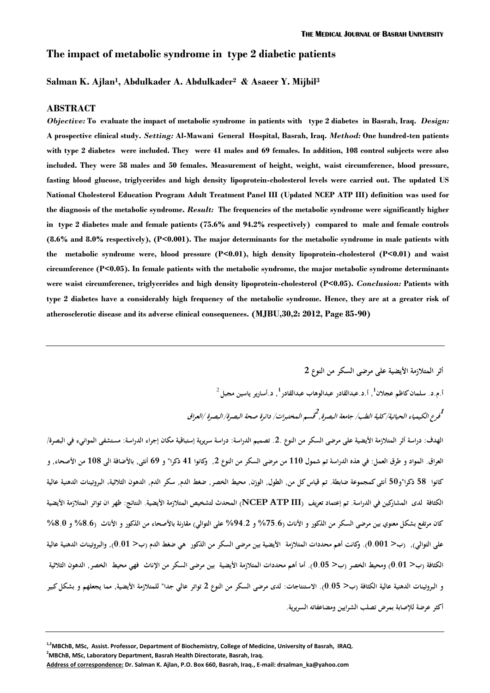# **The impact of metabolic syndrome in type 2 diabetic patients**

**Salman K. Ajlan<sup>1</sup> , Abdulkader A. Abdulkader<sup>2</sup> & Asaeer Y. Mijbil<sup>3</sup>**

#### **ABSTRACT**

*Objective:* **To evaluate the impact of metabolic syndrome in patients with type 2 diabetes in Basrah, Iraq.** *Design:* **A prospective clinical study.** *Setting:* **Al-Mawani General Hospital, Basrah, Iraq.** *Method:* **One hundred-ten patients with type 2 diabetes were included. They were 41 males and 69 females. In addition, 108 control subjects were also included. They were 58 males and 50 females. Measurement of height, weight, waist circumference, blood pressure, fasting blood glucose, triglycerides and high density lipoprotein-cholesterol levels were carried out. The updated US National Cholesterol Education Program Adult Treatment Panel III (Updated NCEP ATP III) definition was used for the diagnosis of the metabolic syndrome.** *Result:* **The frequencies of the metabolic syndrome were significantly higher in type 2 diabetes male and female patients (75.6% and 94.2% respectively) compared to male and female controls (8.6% and 8.0% respectively), (P<0.001). The major determinants for the metabolic syndrome in male patients with the metabolic syndrome were, blood pressure (P<0.01), high density lipoprotein-cholesterol (P<0.01) and waist circumference (P<0.05). In female patients with the metabolic syndrome, the major metabolic syndrome determinants were waist circumference, triglycerides and high density lipoprotein-cholesterol (P<0.05).** *Conclusion:* **Patients with type 2 diabetes have a considerably high frequency of the metabolic syndrome. Hence, they are at a greater risk of atherosclerotic disease and its adverse clinical consequences. (MJBU,30,2: 2012, Page 85-90)**

**أثر المتالزمة األيضية على مرضى السكر من النوع 2**

أ.م.د. سلمان كاظم عجلان<sup>1</sup>, أ.د.عبدالقادر عبدالوهاب عبدالقادر<sup>1</sup>, د.أسارير ياسين مجبل<sup>2</sup>

**1 فرع الكيمياء الحياتية/ كلية الطب/ جامعة البصرة, 2 قسم المختبرات/ دائرة صحة البصرة/البصرة /العراق**

**الهدف: دراسة أثر المتالزمة األيضية على مرضى السكر من النوع .2. تصميم الدراسة: دراسة سريرية إستباقية مكان إجراء الدراسة: مستشفى الموانيء في البصرة/ العراق. المواد و طرق العمل: في هذه الدراسة تم شمول 111 من مرضى السكر من النوع ,2 وكانوا 11 ذكرا" و 96 أنثى, باألضافة الى 111 من األصحاء, و كانوا 81 ذكرا"و81 أنثى كمجموعة ضابطة. تم قياس كل من, الطول, الوزن, محيط الخصر, ضغط الدم, سكر الدم, الدهون الثالثية، البروتينات الدهنية عالية الكثافة لدى المشاركين في الدراسة. تم إعتماد تعريف (III ATP NCEP (المحدث لتشخيص المتالزمة األيضية. النتائج: ظهر ان تواتر المتالزمة األيضية**  كان مرتفع بشكل معنوى بين مرضى السكر من الذكور و الأناث (75.6% و 94.2% على التوالي) مقارنة بالأصحاء من الذكور و الأناث (8.6% و 8.0% **على التوالي(, )ب> 1.111(. وكانت أهم محددات المتالزمة األيضية بين مرضى السكر من الذكور هي ضغط الدم )ب> 1.11(, و البروتينات الدهنية عالية الكثافة )ب> 1.11( و محيط الخصر )ب> 1.18(. أما أهم محددات المتالزمة األيضية بين مرضى السكر من اإلناث فهي محيط الخصر, الدهون الثالثية و البروتينات الدهنية عالية الكثافة )ب> 1.18(. االستنتاجات: لدى مرضى السكر من النوع 2 تواتر عالي جدا" للمتالزمة األيضية, مما يجعلهم و بشكل كبير أكثر عرضة لإلصابة بمرض تصلب الشرايين ومضاعفاته السريرية.** 

**1,2MBChB, MSc, Assist. Professor, Department of Biochemistry, College of Medicine, University of Basrah, IRAQ. <sup>2</sup>MBChB, MSc, Laboratory Department, Basrah Health Directorate, Basrah, Iraq. Address of correspondence: Dr. Salman K. Ajlan, P.O. Box 660, Basrah, Iraq., E-mail: drsalman\_ka@yahoo.com**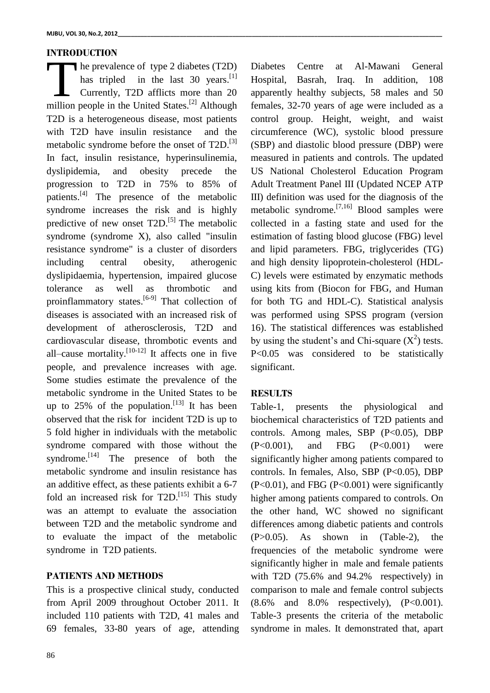## **INTRODUCTION**

he prevalence of type 2 diabetes (T2D) has tripled in the last 30 years.<sup>[1]</sup> Currently, T2D afflicts more than 20 The prevalence of type 2 diabetes (T2D)<br>has tripled in the last 30 years.<sup>[1]</sup><br>Currently, T2D afflicts more than 20<br>million people in the United States.<sup>[2]</sup> Although T2D is a heterogeneous disease, most patients with T2D have insulin resistance and the metabolic syndrome before the onset of T2D.<sup>[3]</sup> In fact, insulin resistance, hyperinsulinemia, dyslipidemia, and obesity precede the progression to T2D in 75% to 85% of patients.<sup>[4]</sup> The presence of the metabolic syndrome increases the risk and is highly predictive of new onset  $T2D$ .<sup>[5]</sup> The metabolic syndrome (syndrome X), also called "insulin resistance syndrome" is a cluster of disorders including central obesity, atherogenic dyslipidaemia, hypertension, impaired glucose tolerance as well as thrombotic and proinflammatory states.<sup>[6-9]</sup> That collection of diseases is associated with an increased risk of development of atherosclerosis, T2D and cardiovascular disease, thrombotic events and all–cause mortality.<sup>[10-12]</sup> It affects one in five people, and prevalence increases with age. Some studies estimate the [prevalence](http://en.wikipedia.org/wiki/Prevalence) of the metabolic syndrome in the United States to be up to 25% of the population.<sup>[13]</sup> It has been observed that the risk for incident T2D is up to 5 fold higher in individuals with the metabolic syndrome compared with those without the syndrome.<sup>[14]</sup> The presence of both the metabolic syndrome and insulin resistance has an additive effect, as these patients exhibit a 6-7 fold an increased risk for T2D.<sup>[15]</sup> This study was an attempt to evaluate the association between T2D and the metabolic syndrome and to evaluate the impact of the metabolic syndrome in T2D patients.

# **PATIENTS AND METHODS**

This is a prospective clinical study, conducted from April 2009 throughout October 2011. It included 110 patients with T2D, 41 males and 69 females, 33-80 years of age, attending Diabetes Centre at Al-Mawani General Hospital, Basrah, Iraq. In addition, 108 apparently healthy subjects, 58 males and 50 females, 32-70 years of age were included as a control group. Height, weight, and waist circumference (WC), systolic blood pressure (SBP) and diastolic blood pressure (DBP) were measured in patients and controls. The updated US National Cholesterol Education Program Adult Treatment Panel III (Updated NCEP ATP III) definition was used for the diagnosis of the metabolic syndrome.<sup>[7,16]</sup> Blood samples were collected in a fasting state and used for the estimation of fasting blood glucose (FBG) level and lipid parameters. FBG, triglycerides (TG) and high density lipoprotein-cholesterol (HDL-C) levels were estimated by enzymatic methods using kits from (Biocon for FBG, and Human for both TG and HDL-C). Statistical analysis was performed using SPSS program (version 16). The statistical differences was established by using the student's and Chi-square  $(X^2)$  tests. P<0.05 was considered to be statistically significant.

## **RESULTS**

Table-1, presents the physiological and biochemical characteristics of T2D patients and controls. Among males, SBP (P<0.05), DBP (P<0.001), and FBG (P<0.001) were significantly higher among patients compared to controls. In females, Also, SBP (P<0.05), DBP (P<0.01), and FBG (P<0.001) were significantly higher among patients compared to controls. On the other hand, WC showed no significant differences among diabetic patients and controls  $(P>0.05)$ . As shown in (Table-2), the frequencies of the metabolic syndrome were significantly higher in male and female patients with T2D (75.6% and 94.2% respectively) in comparison to male and female control subjects  $(8.6\% \text{ and } 8.0\% \text{ respectively}), (P<0.001).$ Table-3 presents the criteria of the metabolic syndrome in males. It demonstrated that, apart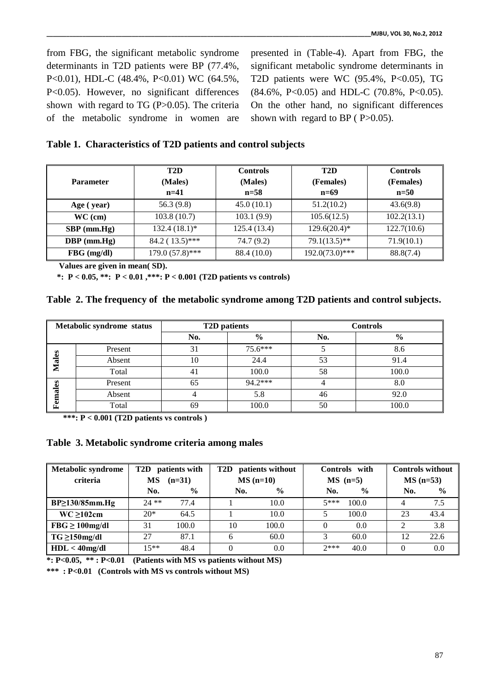from FBG, the significant metabolic syndrome determinants in T2D patients were BP (77.4%, P<0.01), HDL-C (48.4%, P<0.01) WC (64.5%, P<0.05). However, no significant differences shown with regard to TG  $(P>0.05)$ . The criteria of the metabolic syndrome in women are

presented in (Table-4). Apart from FBG, the significant metabolic syndrome determinants in T2D patients were WC  $(95.4\%, P<0.05)$ , TG  $(84.6\%, P<0.05)$  and HDL-C  $(70.8\%, P<0.05)$ . On the other hand, no significant differences shown with regard to BP ( $P > 0.05$ ).

|  |  |  |  | Table 1. Characteristics of T2D patients and control subjects |
|--|--|--|--|---------------------------------------------------------------|
|--|--|--|--|---------------------------------------------------------------|

|                  | T <sub>2</sub> D  | <b>Controls</b> | T <sub>2</sub> D | <b>Controls</b><br>(Females)<br>$n=50$<br>43.6(9.8) |  |
|------------------|-------------------|-----------------|------------------|-----------------------------------------------------|--|
| <b>Parameter</b> | (Males)           | (Males)         | (Females)        |                                                     |  |
|                  | $n=41$            | $n=58$          | $n=69$           |                                                     |  |
| Age (year)       | 56.3(9.8)         | 45.0(10.1)      | 51.2(10.2)       |                                                     |  |
| $WC$ (cm)        | 103.8(10.7)       | 103.1(9.9)      | 105.6(12.5)      | 102.2(13.1)                                         |  |
| $SBP$ (mm.Hg)    | $132.4(18.1)$ *   | 125.4 (13.4)    | $129.6(20.4)^*$  | 122.7(10.6)                                         |  |
| $DBP$ (mm.Hg)    | $84.2(13.5)$ ***  | 74.7(9.2)       | $79.1(13.5)$ **  | 71.9(10.1)                                          |  |
| $FBG$ (mg/dl)    | $179.0(57.8)$ *** | 88.4 (10.0)     | $192.0(73.0)***$ | 88.8(7.4)                                           |  |

 **Values are given in mean( SD).** 

 **\*: P < 0.05, \*\*: P < 0.01 ,\*\*\*: P < 0.001 (T2D patients vs controls)**

**Table 2. The frequency of the metabolic syndrome among T2D patients and control subjects.**

| Metabolic syndrome status |         | <b>T2D</b> patients |               | <b>Controls</b> |       |  |
|---------------------------|---------|---------------------|---------------|-----------------|-------|--|
|                           |         | No.                 | $\frac{6}{9}$ | No.             | $\%$  |  |
|                           | Present | 31                  | $75.6***$     |                 | 8.6   |  |
| <b>Males</b>              | Absent  | 10                  | 24.4          | 53              | 91.4  |  |
|                           | Total   | 41                  | 100.0         | 58              | 100.0 |  |
| ales                      | Present | 65                  | $94.2***$     |                 | 8.0   |  |
| Fem                       | Absent  |                     | 5.8           | 46              | 92.0  |  |
|                           | Total   | 69                  | 100.0         | 50              | 100.0 |  |

 **\*\*\*: P < 0.001 (T2D patients vs controls )**

### **Table 3. Metabolic syndrome criteria among males**

| <b>Metabolic syndrome</b> | T2D<br>patients with |               | patients without<br>T2D |               | Controls with |               | <b>Controls without</b> |               |
|---------------------------|----------------------|---------------|-------------------------|---------------|---------------|---------------|-------------------------|---------------|
| criteria                  | МS<br>$(n=31)$       |               | $MS(n=10)$              |               | $MS$ (n=5)    |               | $MS(n=53)$              |               |
|                           | No.                  | $\frac{0}{0}$ | No.                     | $\frac{6}{6}$ | No.           | $\frac{0}{0}$ | No.                     | $\frac{6}{9}$ |
| BP≥130/85mm.Hg            | $24$ **              | 77.4          |                         | 10.0          | 5***          | 100.0         | 4                       | 7.5           |
| $WC \ge 102$ cm           | $20*$                | 64.5          |                         | 10.0          |               | 100.0         | 23                      | 43.4          |
| $FBG \ge 100$ mg/dl       | 31                   | 100.0         | 10                      | 100.0         | 0             | 0.0           | ◠                       | 3.8           |
| $TG \geq 150$ mg/dl       | 27                   | 87.1          | 6                       | 60.0          |               | 60.0          | 12                      | 22.6          |
| $HDL < 40$ mg/dl          | $15**$               | 48.4          |                         | 0.0           | $7***$        | 40.0          |                         | 0.0           |

**\*: P<0.05, \*\* : P<0.01 (Patients with MS vs patients without MS)**

**\*\*\* : P<0.01 (Controls with MS vs controls without MS)**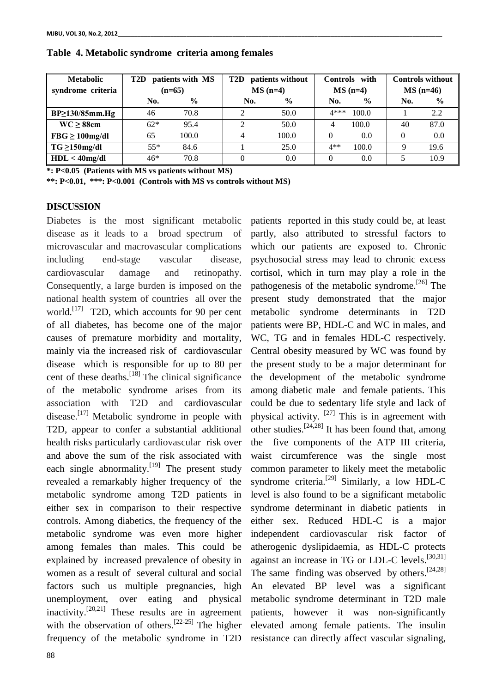| <b>Metabolic</b>       | patients with MS<br>T2D |               | patients without<br>T <sub>2</sub> D |               | Controls with |               | <b>Controls without</b> |               |
|------------------------|-------------------------|---------------|--------------------------------------|---------------|---------------|---------------|-------------------------|---------------|
| syndrome criteria      | $(n=65)$                |               | $MS(n=4)$                            |               | $MS(n=4)$     |               | $MS(n=46)$              |               |
|                        | No.                     | $\frac{0}{0}$ | No.                                  | $\frac{0}{0}$ | No.           | $\frac{6}{9}$ | No.                     | $\frac{6}{9}$ |
| $BP \geq 130/85$ mm.Hg | 46                      | 70.8          |                                      | 50.0          | $4***$        | 100.0         |                         | 2.2           |
| $WC \geq 88$ cm        | $62*$                   | 95.4          | ◠                                    | 50.0          |               | 100.0         | 40                      | 87.0          |
| $FBG \ge 100$ mg/dl    | 65                      | 100.0         |                                      | 100.0         | $\theta$      | 0.0           |                         | 0.0           |
| $TG \geq 150$ mg/dl    | $55*$                   | 84.6          |                                      | 25.0          | 4**           | 100.0         | Q                       | 19.6          |
| $HDL < 40$ mg/dl       | $46*$                   | 70.8          | $\Omega$                             | 0.0           | 0             | 0.0           |                         | 10.9          |

**Table 4. Metabolic syndrome criteria among females**

**\*: P<0.05 (Patients with MS vs patients without MS)**

**\*\*: P<0.01, \*\*\*: P<0.001 (Controls with MS vs controls without MS)**

#### **DISCUSSION**

Diabetes is the most significant metabolic disease as it leads to a broad spectrum of microvascular and macrovascular complications including end-stage vascular disease, cardiovascular damage and retinopathy. Consequently, a large burden is imposed on the national health system of countries all over the world.<sup>[17]</sup> T2D, which accounts for 90 per cent of all diabetes, has become one of the major causes of premature morbidity and mortality, mainly via the increased risk of cardiovascular disease which is responsible for up to 80 per cent of these deaths.<sup>[18]</sup> The clinical significance of the metabolic syndrome arises from its association with T2D and cardiovascular disease.<sup>[17]</sup> Metabolic syndrome in people with T2D, appear to confer a substantial additional health risks particularly cardiovascular risk over and above the sum of the risk associated with each single abnormality.<sup>[19]</sup> The present study revealed a remarkably higher frequency of the metabolic syndrome among T2D patients in either sex in comparison to their respective controls. Among diabetics, the frequency of the metabolic syndrome was even more higher among females than males. This could be explained by increased prevalence of obesity in women as a result of several cultural and social factors such us multiple pregnancies, high unemployment, over eating and physical inactivity.<sup>[20,21]</sup> These results are in agreement with the observation of others.<sup>[22-25]</sup> The higher frequency of the metabolic syndrome in T2D

patients reported in this study could be, at least partly, also attributed to stressful factors to which our patients are exposed to. Chronic psychosocial stress may lead to chronic excess cortisol, which in turn may play a role in the pathogenesis of the metabolic syndrome.<sup>[26]</sup> The present study demonstrated that the major metabolic syndrome determinants in T2D patients were BP, HDL-C and WC in males, and WC, TG and in females HDL-C respectively. Central obesity measured by WC was found by the present study to be a major determinant for the development of the metabolic syndrome among diabetic male and female patients. This could be due to sedentary life style and lack of physical activity. <sup>[27]</sup> This is in agreement with other studies.<sup>[24,28]</sup> It has been found that, among the five components of the ATP III criteria, waist circumference was the single most common parameter to likely meet the metabolic syndrome criteria.<sup>[29]</sup> Similarly, a low HDL-C level is also found to be a significant metabolic syndrome determinant in diabetic patients in either sex. Reduced HDL-C is a major independent cardiovascular risk factor of atherogenic dyslipidaemia, as HDL-C protects against an increase in TG or LDL-C levels.  $[30,31]$ The same finding was observed by others.  $[24,28]$ An elevated BP level was a significant metabolic syndrome determinant in T2D male patients, however it was non-significantly elevated among female patients. The insulin resistance can directly affect vascular signaling,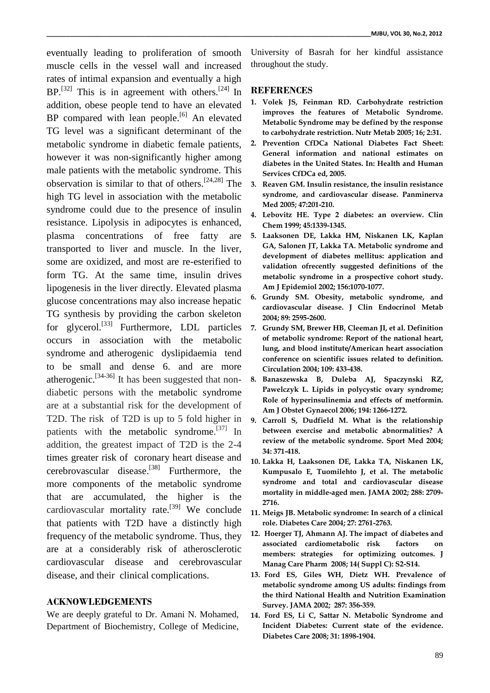eventually leading to proliferation of smooth muscle cells in the vessel wall and increased rates of intimal expansion and eventually a high  $BP^{[32]}$  This is in agreement with others.<sup>[24]</sup> In addition, obese people tend to have an elevated BP compared with lean people.<sup>[6]</sup> An elevated TG level was a significant determinant of the metabolic syndrome in diabetic female patients, however it was non-significantly higher among male patients with the metabolic syndrome. This observation is similar to that of others.  $[24,28]$  The high TG level in association with the metabolic syndrome could due to the presence of insulin resistance. Lipolysis in adipocytes is enhanced, plasma concentrations of free fatty are transported to liver and muscle. In the liver, some are oxidized, and most are re-esterified to form TG. At the same time, insulin drives lipogenesis in the liver directly. Elevated plasma glucose concentrations may also increase hepatic TG synthesis by providing the carbon skeleton for glycerol.<sup>[33]</sup> Furthermore, LDL particles occurs in association with the metabolic syndrome and atherogenic dyslipidaemia tend to be small and dense 6. and are more atherogenic.<sup>[34-36]</sup> It has been suggested that nondiabetic persons with the metabolic syndrome are at a substantial risk for the development of T2D. The risk of T2D is up to 5 fold higher in patients with the metabolic syndrome.<sup>[37]</sup> In addition, the greatest impact of T2D is the 2-4 times greater risk of coronary heart disease and cerebrovascular disease.<sup>[38]</sup> Furthermore, the more components of the metabolic syndrome that are accumulated, the higher is the cardiovascular mortality rate.<sup>[39]</sup> We conclude that patients with T2D have a distinctly high frequency of the metabolic syndrome. Thus, they are at a considerably risk of atherosclerotic cardiovascular disease and cerebrovascular disease, and their clinical complications.

### **ACKNOWLEDGEMENTS**

We are deeply grateful to Dr. Amani N. Mohamed, Department of Biochemistry, College of Medicine, University of Basrah for her kindful assistance throughout the study.

### **REFERENCES**

- **1. [Volek JS, Feinman RD.](http://www.ncbi.nlm.nih.gov/entrez/query.fcgi?cmd=Retrieve&db=PubMed&dopt=Abstract&list_uids=16288655) Carbohydrate restriction improves the features of Metabolic Syndrome. Metabolic Syndrome may be defined by the response to carbohydrate restriction. Nutr Metab 2005; 16; 2:31.**
- **2. Prevention CfDCa National Diabetes Fact Sheet: General information and national estimates on diabetes in the United States. In: Health and Human Services CfDCa ed, 2005.**
- **3. Reaven GM. Insulin resistance, the insulin resistance syndrome, and cardiovascular disease. Panminerva Med 2005; 47:201-210.**
- **4. Lebovitz HE. Type 2 diabetes: an overview. Clin Chem 1999; 45:1339-1345.**
- **5. Laaksonen DE, Lakka HM, Niskanen LK, Kaplan GA, Salonen JT, Lakka TA. Metabolic syndrome and development of diabetes mellitus: application and validation ofrecently suggested definitions of the metabolic syndrome in a prospective cohort study. Am J Epidemiol 2002; 156:1070-1077.**
- **6. Grundy SM. Obesity, metabolic syndrome, and cardiovascular disease. J Clin Endocrinol Metab 2004; 89: 2595-2600.**
- **7. Grundy SM, Brewer HB, Cleeman JI, et al. Definition of metabolic syndrome: Report of the national heart, lung, and blood institute/American heart association conference on scientific issues related to definition. Circulation 2004; 109: 433-438.**
- **8. Banaszewska B, Duleba AJ, Spaczynski RZ, Pawelczyk L. Lipids in polycystic ovary syndrome; Role of hyperinsulinemia and effects of metformin. Am J Obstet Gynaecol 2006; 194: 1266-1272.**
- **9. Carroll S, Dudfield M. What is the relationship between exercise and metabolic abnormalities? A review of the metabolic syndrome. Sport Med 2004; 34: 371-418.**
- **10. Lakka H, Laaksonen DE, Lakka TA, Niskanen LK, Kumpusalo E, Tuomilehto J, et al. The metabolic syndrome and total and cardiovascular disease mortality in middle-aged men. JAMA 2002; 288: 2709- 2716.**
- **11. Meigs JB. Metabolic syndrome: In search of a clinical role. Diabetes Care 2004; 27: 2761-2763.**
- **12. [Hoerger TJ,](http://www.ncbi.nlm.nih.gov/pubmed?term=%22Hoerger%20TJ%22%5BAuthor%5D) [Ahmann](http://www.ncbi.nlm.nih.gov/pubmed?term=%22Ahmann%20AJ%22%5BAuthor%5D) AJ. The impact of diabetes and associated cardiometabolic risk factors on members: strategies for optimizing outcomes. [J](javascript:AL_get(this,%20)  [Manag Care Pharm](javascript:AL_get(this,%20) 2008; 14( Suppl C): S2-S14.**
- **13. Ford ES, Giles WH, Dietz WH. Prevalence of metabolic syndrome among US adults: findings from the third National Health and Nutrition Examination Survey. JAMA 2002; 287: 356-359.**
- **14. Ford ES, Li C, Sattar N. Metabolic Syndrome and Incident Diabetes: Current state of the evidence. Diabetes Care 2008; 31: 1898-1904.**